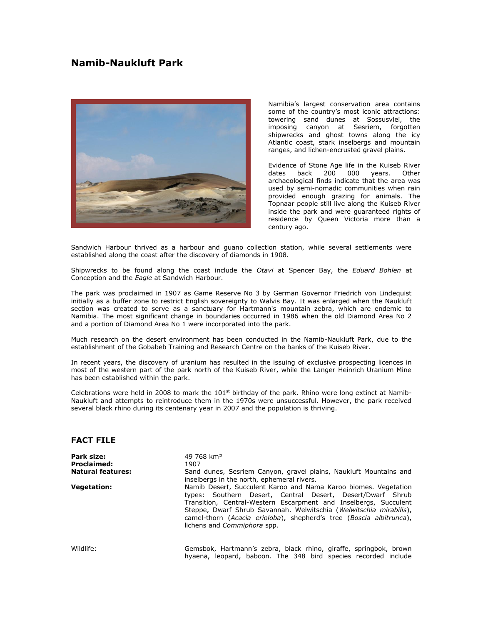# **Namib-Naukluft Park**



Namibia's largest conservation area contains some of the country's most iconic attractions: towering sand dunes at Sossusvlei, the imposing canyon at Sesriem, forgotten shipwrecks and ghost towns along the icy Atlantic coast, stark inselbergs and mountain ranges, and lichen-encrusted gravel plains.

Evidence of Stone Age life in the Kuiseb River dates back 200 000 years. Other archaeological finds indicate that the area was used by semi-nomadic communities when rain provided enough grazing for animals. The Topnaar people still live along the Kuiseb River inside the park and were guaranteed rights of residence by Queen Victoria more than a century ago.

Sandwich Harbour thrived as a harbour and guano collection station, while several settlements were established along the coast after the discovery of diamonds in 1908.

Shipwrecks to be found along the coast include the *Otavi* at Spencer Bay, the *Eduard Bohlen* at Conception and the *Eagle* at Sandwich Harbour.

The park was proclaimed in 1907 as Game Reserve No 3 by German Governor Friedrich von Lindequist initially as a buffer zone to restrict English sovereignty to Walvis Bay. It was enlarged when the Naukluft section was created to serve as a sanctuary for Hartmann's mountain zebra, which are endemic to Namibia. The most significant change in boundaries occurred in 1986 when the old Diamond Area No 2 and a portion of Diamond Area No 1 were incorporated into the park.

Much research on the desert environment has been conducted in the Namib-Naukluft Park, due to the establishment of the Gobabeb Training and Research Centre on the banks of the Kuiseb River.

In recent years, the discovery of uranium has resulted in the issuing of exclusive prospecting licences in most of the western part of the park north of the Kuiseb River, while the Langer Heinrich Uranium Mine has been established within the park.

Celebrations were held in 2008 to mark the  $101<sup>st</sup>$  birthday of the park. Rhino were long extinct at Namib-Naukluft and attempts to reintroduce them in the 1970s were unsuccessful. However, the park received several black rhino during its centenary year in 2007 and the population is thriving.

## **FACT FILE**

| <b>Park size:</b><br><b>Proclaimed:</b><br><b>Natural features:</b> | 49 768 km <sup>2</sup><br>1907<br>Sand dunes, Sesriem Canyon, gravel plains, Naukluft Mountains and<br>inselbergs in the north, ephemeral rivers.                                                                                                                                                                                                                                    |
|---------------------------------------------------------------------|--------------------------------------------------------------------------------------------------------------------------------------------------------------------------------------------------------------------------------------------------------------------------------------------------------------------------------------------------------------------------------------|
| <b>Vegetation:</b>                                                  | Namib Desert, Succulent Karoo and Nama Karoo biomes. Vegetation<br>types: Southern Desert, Central Desert, Desert/Dwarf Shrub<br>Transition, Central-Western Escarpment and Inselbergs, Succulent<br>Steppe, Dwarf Shrub Savannah. Welwitschia (Welwitschia mirabilis),<br>camel-thorn (Acacia erioloba), shepherd's tree (Boscia albitrunca),<br>lichens and <i>Commiphora</i> spp. |
| Wildlife:                                                           | Gemsbok, Hartmann's zebra, black rhino, giraffe, springbok, brown<br>hyaena, leopard, baboon. The 348 bird species recorded include                                                                                                                                                                                                                                                  |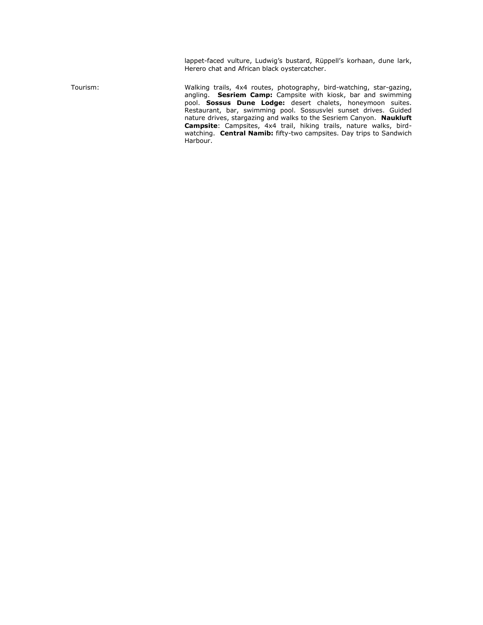lappet-faced vulture, Ludwig's bustard, Rüppell's korhaan, dune lark, Herero chat and African black oystercatcher.

Tourism: Walking trails, 4x4 routes, photography, bird-watching, star-gazing, angling. **Sesriem Camp:** Campsite with kiosk, bar and swimming pool. **Sossus Dune Lodge:** desert chalets, honeymoon suites. Restaurant, bar, swimming pool. Sossusvlei sunset drives. Guided nature drives, stargazing and walks to the Sesriem Canyon. **Naukluft Campsite**: Campsites, 4x4 trail, hiking trails, nature walks, birdwatching. **Central Namib:** fifty-two campsites. Day trips to Sandwich Harbour.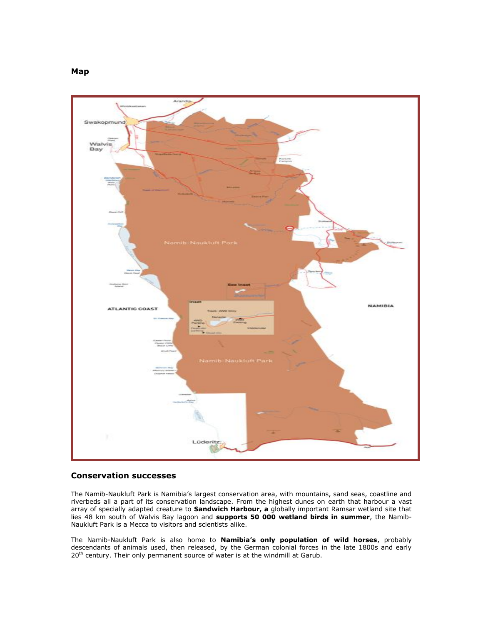

#### **Conservation successes**

The Namib-Naukluft Park is Namibia's largest conservation area, with mountains, sand seas, coastline and riverbeds all a part of its conservation landscape. From the highest dunes on earth that harbour a vast array of specially adapted creature to **Sandwich Harbour, a** globally important Ramsar wetland site that lies 48 km south of Walvis Bay lagoon and **supports 50 000 wetland birds in summer**, the Namib-Naukluft Park is a Mecca to visitors and scientists alike.

The Namib-Naukluft Park is also home to **Namibia's only population of wild horses**, probably descendants of animals used, then released, by the German colonial forces in the late 1800s and early 20<sup>th</sup> century. Their only permanent source of water is at the windmill at Garub.

**Map**